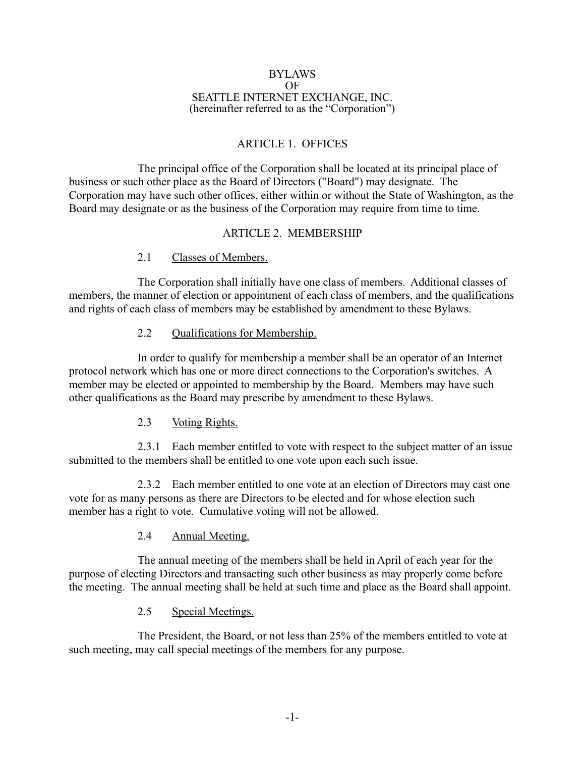#### BYLAWS OF SEATTLE INTERNET EXCHANGE, INC. (hereinafter referred to as the "Corporation")

## ARTICLE 1. OFFICES

The principal office of the Corporation shall be located at its principal place of business or such other place as the Board of Directors ("Board") may designate. The Corporation may have such other offices, either within or without the State of Washington, as the Board may designate or as the business of the Corporation may require from time to time.

### ARTICLE 2. MEMBERSHIP

### 2.1 Classes of Members.

The Corporation shall initially have one class of members. Additional classes of members, the manner of election or appointment of each class of members, and the qualifications and rights of each class of members may be established by amendment to these Bylaws.

### 2.2 Oualifications for Membership.

In order to qualify for membership a member shall be an operator of an Internet protocol network which has one or more direct connections to the Corporation's switches. A member may be elected or appointed to membership by the Board. Members may have such other qualifications as the Board may prescribe by amendment to these Bylaws.

### 2.3 Voting Rights.

2.3.1 Each member entitled to vote with respect to the subject matter of an issue submitted to the members shall be entitled to one vote upon each such issue.

2.3.2 Each member entitled to one vote at an election of Directors may cast one vote for as many persons as there are Directors to be elected and for whose election such member has a right to vote. Cumulative voting will not be allowed.

### 2.4 Annual Meeting.

The annual meeting of the members shall be held in April of each year for the purpose of electing Directors and transacting such other business as may properly come before the meeting. The annual meeting shall be held at such time and place as the Board shall appoint.

## 2.5 Special Meetings.

The President, the Board, or not less than 25% of the members entitled to vote at such meeting, may call special meetings of the members for any purpose.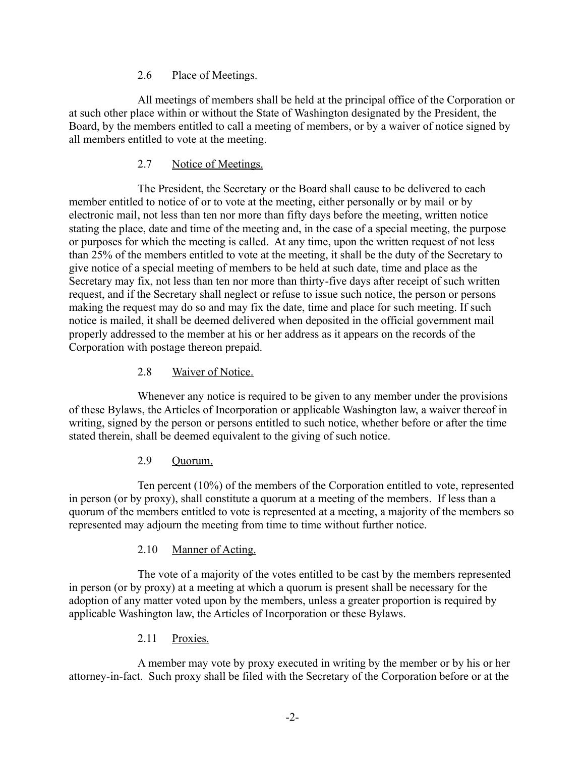### 2.6 Place of Meetings.

All meetings of members shall be held at the principal office of the Corporation or at such other place within or without the State of Washington designated by the President, the Board, by the members entitled to call a meeting of members, or by a waiver of notice signed by all members entitled to vote at the meeting.

### 2.7 Notice of Meetings.

The President, the Secretary or the Board shall cause to be delivered to each member entitled to notice of or to vote at the meeting, either personally or by mail or by electronic mail, not less than ten nor more than fifty days before the meeting, written notice stating the place, date and time of the meeting and, in the case of a special meeting, the purpose or purposes for which the meeting is called. At any time, upon the written request of not less than 25% of the members entitled to vote at the meeting, it shall be the duty of the Secretary to give notice of a special meeting of members to be held at such date, time and place as the Secretary may fix, not less than ten nor more than thirty-five days after receipt of such written request, and if the Secretary shall neglect or refuse to issue such notice, the person or persons making the request may do so and may fix the date, time and place for such meeting. If such notice is mailed, it shall be deemed delivered when deposited in the official government mail properly addressed to the member at his or her address as it appears on the records of the Corporation with postage thereon prepaid.

### 2.8 Waiver of Notice.

Whenever any notice is required to be given to any member under the provisions of these Bylaws, the Articles of Incorporation or applicable Washington law, a waiver thereof in writing, signed by the person or persons entitled to such notice, whether before or after the time stated therein, shall be deemed equivalent to the giving of such notice.

### 2.9 Quorum.

Ten percent (10%) of the members of the Corporation entitled to vote, represented in person (or by proxy), shall constitute a quorum at a meeting of the members. If less than a quorum of the members entitled to vote is represented at a meeting, a majority of the members so represented may adjourn the meeting from time to time without further notice.

## 2.10 Manner of Acting.

The vote of a majority of the votes entitled to be cast by the members represented in person (or by proxy) at a meeting at which a quorum is present shall be necessary for the adoption of any matter voted upon by the members, unless a greater proportion is required by applicable Washington law, the Articles of Incorporation or these Bylaws.

## 2.11 Proxies.

A member may vote by proxy executed in writing by the member or by his or her attorney-in-fact. Such proxy shall be filed with the Secretary of the Corporation before or at the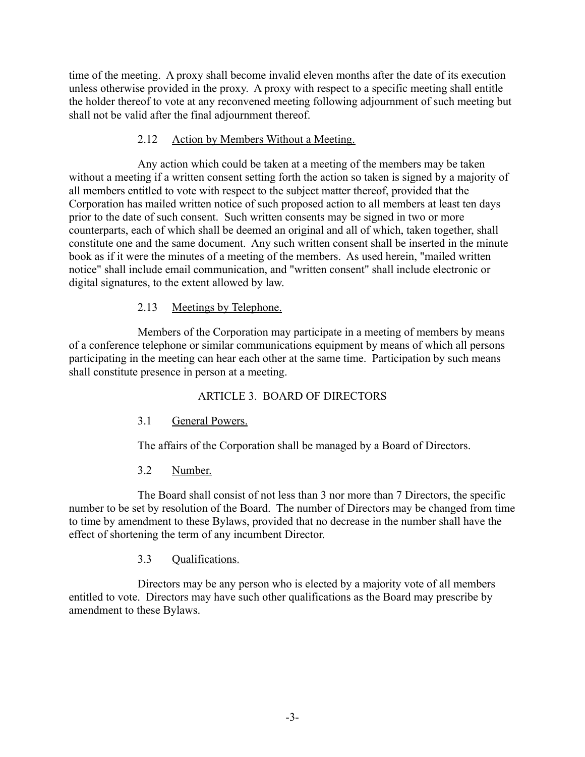time of the meeting. A proxy shall become invalid eleven months after the date of its execution unless otherwise provided in the proxy. A proxy with respect to a specific meeting shall entitle the holder thereof to vote at any reconvened meeting following adjournment of such meeting but shall not be valid after the final adjournment thereof.

### 2.12 Action by Members Without a Meeting.

Any action which could be taken at a meeting of the members may be taken without a meeting if a written consent setting forth the action so taken is signed by a majority of all members entitled to vote with respect to the subject matter thereof, provided that the Corporation has mailed written notice of such proposed action to all members at least ten days prior to the date of such consent. Such written consents may be signed in two or more counterparts, each of which shall be deemed an original and all of which, taken together, shall constitute one and the same document. Any such written consent shall be inserted in the minute book as if it were the minutes of a meeting of the members. As used herein, "mailed written notice" shall include email communication, and "written consent" shall include electronic or digital signatures, to the extent allowed by law.

### 2.13 Meetings by Telephone.

Members of the Corporation may participate in a meeting of members by means of a conference telephone or similar communications equipment by means of which all persons participating in the meeting can hear each other at the same time. Participation by such means shall constitute presence in person at a meeting.

### ARTICLE 3. BOARD OF DIRECTORS

### 3.1 General Powers.

The affairs of the Corporation shall be managed by a Board of Directors.

### 3.2 Number.

The Board shall consist of not less than 3 nor more than 7 Directors, the specific number to be set by resolution of the Board. The number of Directors may be changed from time to time by amendment to these Bylaws, provided that no decrease in the number shall have the effect of shortening the term of any incumbent Director.

### 3.3 Qualifications.

Directors may be any person who is elected by a majority vote of all members entitled to vote. Directors may have such other qualifications as the Board may prescribe by amendment to these Bylaws.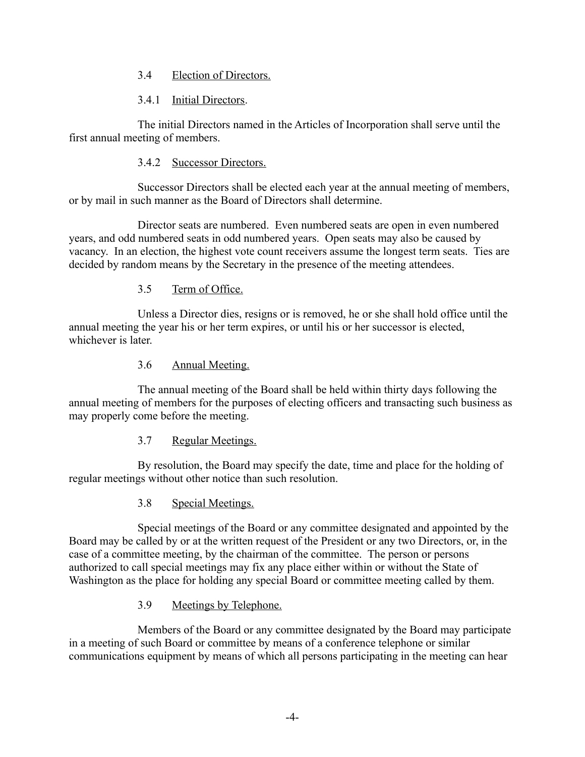### 3.4 Election of Directors.

### 3.4.1 Initial Directors.

The initial Directors named in the Articles of Incorporation shall serve until the first annual meeting of members.

### 3.4.2 Successor Directors.

Successor Directors shall be elected each year at the annual meeting of members, or by mail in such manner as the Board of Directors shall determine.

Director seats are numbered. Even numbered seats are open in even numbered years, and odd numbered seats in odd numbered years. Open seats may also be caused by vacancy. In an election, the highest vote count receivers assume the longest term seats. Ties are decided by random means by the Secretary in the presence of the meeting attendees.

### 3.5 Term of Office.

Unless a Director dies, resigns or is removed, he or she shall hold office until the annual meeting the year his or her term expires, or until his or her successor is elected, whichever is later.

### 3.6 Annual Meeting.

The annual meeting of the Board shall be held within thirty days following the annual meeting of members for the purposes of electing officers and transacting such business as may properly come before the meeting.

### 3.7 Regular Meetings.

By resolution, the Board may specify the date, time and place for the holding of regular meetings without other notice than such resolution.

3.8 Special Meetings.

Special meetings of the Board or any committee designated and appointed by the Board may be called by or at the written request of the President or any two Directors, or, in the case of a committee meeting, by the chairman of the committee. The person or persons authorized to call special meetings may fix any place either within or without the State of Washington as the place for holding any special Board or committee meeting called by them.

### 3.9 Meetings by Telephone.

Members of the Board or any committee designated by the Board may participate in a meeting of such Board or committee by means of a conference telephone or similar communications equipment by means of which all persons participating in the meeting can hear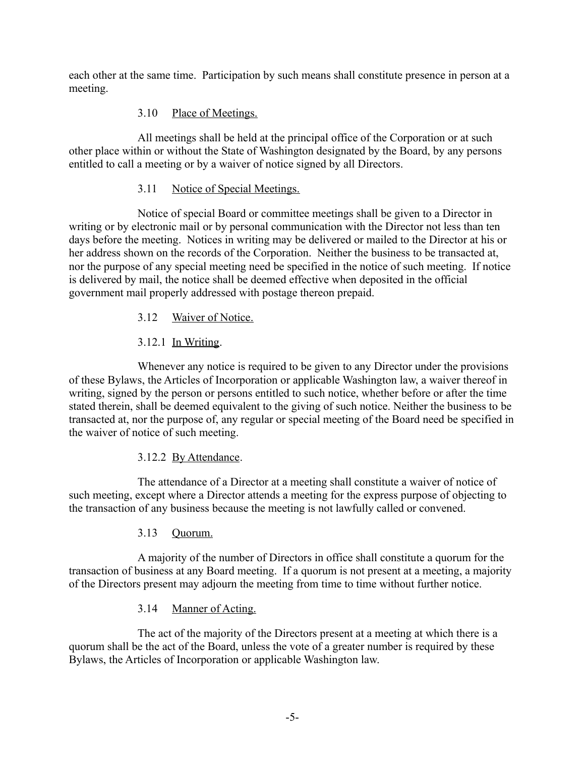each other at the same time. Participation by such means shall constitute presence in person at a meeting.

## 3.10 Place of Meetings.

All meetings shall be held at the principal office of the Corporation or at such other place within or without the State of Washington designated by the Board, by any persons entitled to call a meeting or by a waiver of notice signed by all Directors.

## 3.11 Notice of Special Meetings.

Notice of special Board or committee meetings shall be given to a Director in writing or by electronic mail or by personal communication with the Director not less than ten days before the meeting. Notices in writing may be delivered or mailed to the Director at his or her address shown on the records of the Corporation. Neither the business to be transacted at, nor the purpose of any special meeting need be specified in the notice of such meeting. If notice is delivered by mail, the notice shall be deemed effective when deposited in the official government mail properly addressed with postage thereon prepaid.

## 3.12 Waiver of Notice.

# 3.12.1 In Writing.

Whenever any notice is required to be given to any Director under the provisions of these Bylaws, the Articles of Incorporation or applicable Washington law, a waiver thereof in writing, signed by the person or persons entitled to such notice, whether before or after the time stated therein, shall be deemed equivalent to the giving of such notice. Neither the business to be transacted at, nor the purpose of, any regular or special meeting of the Board need be specified in the waiver of notice of such meeting.

## 3.12.2 By Attendance.

The attendance of a Director at a meeting shall constitute a waiver of notice of such meeting, except where a Director attends a meeting for the express purpose of objecting to the transaction of any business because the meeting is not lawfully called or convened.

## 3.13 Quorum.

A majority of the number of Directors in office shall constitute a quorum for the transaction of business at any Board meeting. If a quorum is not present at a meeting, a majority of the Directors present may adjourn the meeting from time to time without further notice.

## 3.14 Manner of Acting.

The act of the majority of the Directors present at a meeting at which there is a quorum shall be the act of the Board, unless the vote of a greater number is required by these Bylaws, the Articles of Incorporation or applicable Washington law.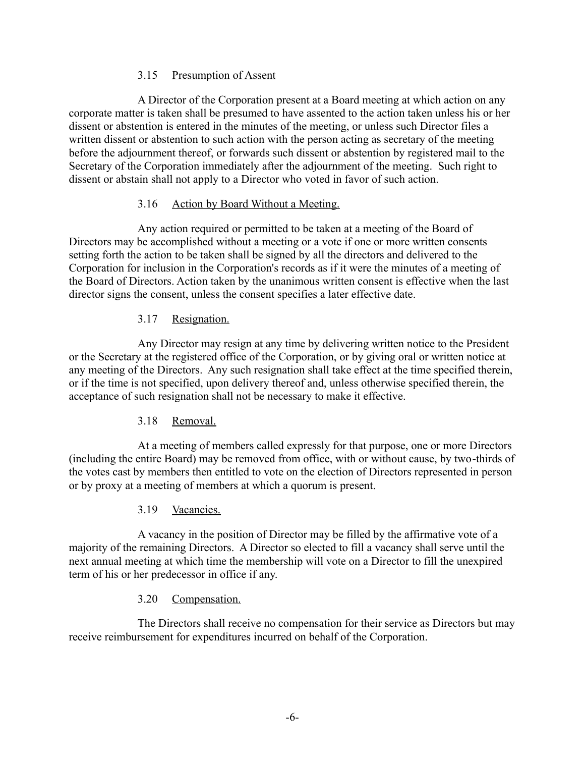### 3.15 Presumption of Assent

A Director of the Corporation present at a Board meeting at which action on any corporate matter is taken shall be presumed to have assented to the action taken unless his or her dissent or abstention is entered in the minutes of the meeting, or unless such Director files a written dissent or abstention to such action with the person acting as secretary of the meeting before the adjournment thereof, or forwards such dissent or abstention by registered mail to the Secretary of the Corporation immediately after the adjournment of the meeting. Such right to dissent or abstain shall not apply to a Director who voted in favor of such action.

### 3.16 Action by Board Without a Meeting.

Any action required or permitted to be taken at a meeting of the Board of Directors may be accomplished without a meeting or a vote if one or more written consents setting forth the action to be taken shall be signed by all the directors and delivered to the Corporation for inclusion in the Corporation's records as if it were the minutes of a meeting of the Board of Directors. Action taken by the unanimous written consent is effective when the last director signs the consent, unless the consent specifies a later effective date.

### 3.17 Resignation.

Any Director may resign at any time by delivering written notice to the President or the Secretary at the registered office of the Corporation, or by giving oral or written notice at any meeting of the Directors. Any such resignation shall take effect at the time specified therein, or if the time is not specified, upon delivery thereof and, unless otherwise specified therein, the acceptance of such resignation shall not be necessary to make it effective.

## 3.18 Removal.

At a meeting of members called expressly for that purpose, one or more Directors (including the entire Board) may be removed from office, with or without cause, by two-thirds of the votes cast by members then entitled to vote on the election of Directors represented in person or by proxy at a meeting of members at which a quorum is present.

## 3.19 Vacancies.

A vacancy in the position of Director may be filled by the affirmative vote of a majority of the remaining Directors. A Director so elected to fill a vacancy shall serve until the next annual meeting at which time the membership will vote on a Director to fill the unexpired term of his or her predecessor in office if any.

### 3.20 Compensation.

The Directors shall receive no compensation for their service as Directors but may receive reimbursement for expenditures incurred on behalf of the Corporation.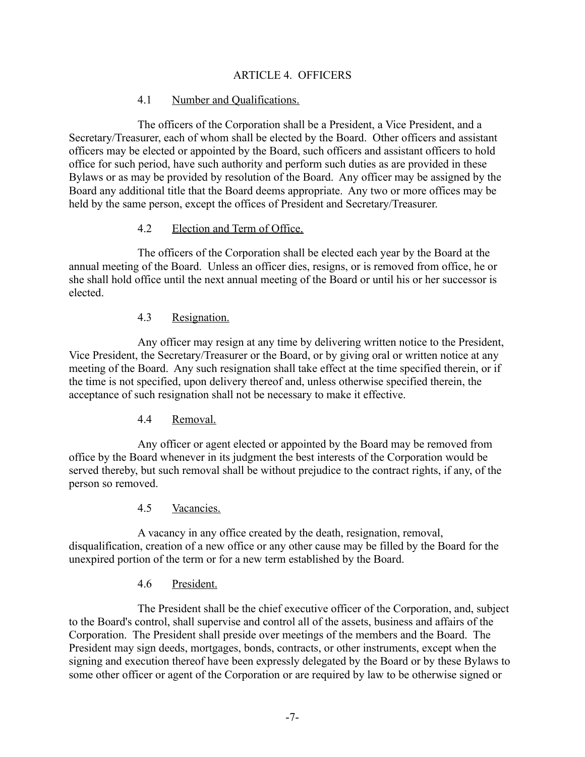### ARTICLE 4. OFFICERS

### 4.1 Number and Qualifications.

The officers of the Corporation shall be a President, a Vice President, and a Secretary/Treasurer, each of whom shall be elected by the Board. Other officers and assistant officers may be elected or appointed by the Board, such officers and assistant officers to hold office for such period, have such authority and perform such duties as are provided in these Bylaws or as may be provided by resolution of the Board. Any officer may be assigned by the Board any additional title that the Board deems appropriate. Any two or more offices may be held by the same person, except the offices of President and Secretary/Treasurer.

#### 4.2 Election and Term of Office.

The officers of the Corporation shall be elected each year by the Board at the annual meeting of the Board. Unless an officer dies, resigns, or is removed from office, he or she shall hold office until the next annual meeting of the Board or until his or her successor is elected.

#### 4.3 Resignation.

Any officer may resign at any time by delivering written notice to the President, Vice President, the Secretary/Treasurer or the Board, or by giving oral or written notice at any meeting of the Board. Any such resignation shall take effect at the time specified therein, or if the time is not specified, upon delivery thereof and, unless otherwise specified therein, the acceptance of such resignation shall not be necessary to make it effective.

### 4.4 Removal.

Any officer or agent elected or appointed by the Board may be removed from office by the Board whenever in its judgment the best interests of the Corporation would be served thereby, but such removal shall be without prejudice to the contract rights, if any, of the person so removed.

#### 4.5 Vacancies.

A vacancy in any office created by the death, resignation, removal, disqualification, creation of a new office or any other cause may be filled by the Board for the unexpired portion of the term or for a new term established by the Board.

#### 4.6 President.

The President shall be the chief executive officer of the Corporation, and, subject to the Board's control, shall supervise and control all of the assets, business and affairs of the Corporation. The President shall preside over meetings of the members and the Board. The President may sign deeds, mortgages, bonds, contracts, or other instruments, except when the signing and execution thereof have been expressly delegated by the Board or by these Bylaws to some other officer or agent of the Corporation or are required by law to be otherwise signed or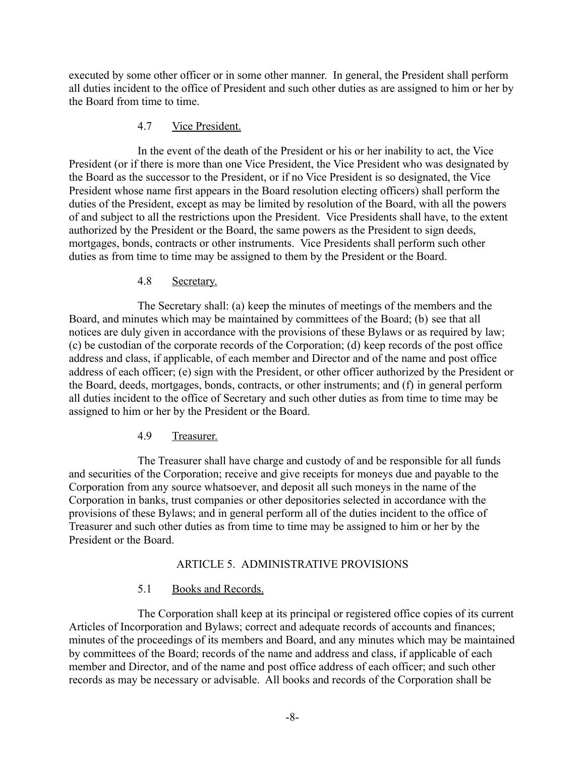executed by some other officer or in some other manner. In general, the President shall perform all duties incident to the office of President and such other duties as are assigned to him or her by the Board from time to time.

### 4.7 Vice President.

In the event of the death of the President or his or her inability to act, the Vice President (or if there is more than one Vice President, the Vice President who was designated by the Board as the successor to the President, or if no Vice President is so designated, the Vice President whose name first appears in the Board resolution electing officers) shall perform the duties of the President, except as may be limited by resolution of the Board, with all the powers of and subject to all the restrictions upon the President. Vice Presidents shall have, to the extent authorized by the President or the Board, the same powers as the President to sign deeds, mortgages, bonds, contracts or other instruments. Vice Presidents shall perform such other duties as from time to time may be assigned to them by the President or the Board.

### 4.8 Secretary.

The Secretary shall: (a) keep the minutes of meetings of the members and the Board, and minutes which may be maintained by committees of the Board; (b) see that all notices are duly given in accordance with the provisions of these Bylaws or as required by law; (c) be custodian of the corporate records of the Corporation; (d) keep records of the post office address and class, if applicable, of each member and Director and of the name and post office address of each officer; (e) sign with the President, or other officer authorized by the President or the Board, deeds, mortgages, bonds, contracts, or other instruments; and (f) in general perform all duties incident to the office of Secretary and such other duties as from time to time may be assigned to him or her by the President or the Board.

## 4.9 Treasurer.

The Treasurer shall have charge and custody of and be responsible for all funds and securities of the Corporation; receive and give receipts for moneys due and payable to the Corporation from any source whatsoever, and deposit all such moneys in the name of the Corporation in banks, trust companies or other depositories selected in accordance with the provisions of these Bylaws; and in general perform all of the duties incident to the office of Treasurer and such other duties as from time to time may be assigned to him or her by the President or the Board.

### ARTICLE 5. ADMINISTRATIVE PROVISIONS

### 5.1 Books and Records.

The Corporation shall keep at its principal or registered office copies of its current Articles of Incorporation and Bylaws; correct and adequate records of accounts and finances; minutes of the proceedings of its members and Board, and any minutes which may be maintained by committees of the Board; records of the name and address and class, if applicable of each member and Director, and of the name and post office address of each officer; and such other records as may be necessary or advisable. All books and records of the Corporation shall be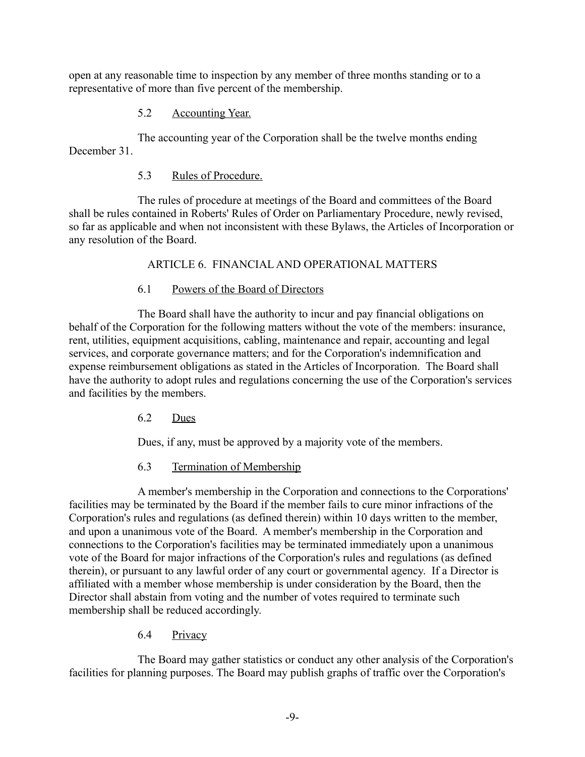open at any reasonable time to inspection by any member of three months standing or to a representative of more than five percent of the membership.

## 5.2 Accounting Year.

The accounting year of the Corporation shall be the twelve months ending December 31

## 5.3 Rules of Procedure.

The rules of procedure at meetings of the Board and committees of the Board shall be rules contained in Roberts' Rules of Order on Parliamentary Procedure, newly revised, so far as applicable and when not inconsistent with these Bylaws, the Articles of Incorporation or any resolution of the Board.

## ARTICLE 6. FINANCIAL AND OPERATIONAL MATTERS

## 6.1 Powers of the Board of Directors

The Board shall have the authority to incur and pay financial obligations on behalf of the Corporation for the following matters without the vote of the members: insurance, rent, utilities, equipment acquisitions, cabling, maintenance and repair, accounting and legal services, and corporate governance matters; and for the Corporation's indemnification and expense reimbursement obligations as stated in the Articles of Incorporation. The Board shall have the authority to adopt rules and regulations concerning the use of the Corporation's services and facilities by the members.

6.2 Dues

Dues, if any, must be approved by a majority vote of the members.

6.3 Termination of Membership

A member's membership in the Corporation and connections to the Corporations' facilities may be terminated by the Board if the member fails to cure minor infractions of the Corporation's rules and regulations (as defined therein) within 10 days written to the member, and upon a unanimous vote of the Board. A member's membership in the Corporation and connections to the Corporation's facilities may be terminated immediately upon a unanimous vote of the Board for major infractions of the Corporation's rules and regulations (as defined therein), or pursuant to any lawful order of any court or governmental agency. If a Director is affiliated with a member whose membership is under consideration by the Board, then the Director shall abstain from voting and the number of votes required to terminate such membership shall be reduced accordingly.

## 6.4 Privacy

The Board may gather statistics or conduct any other analysis of the Corporation's facilities for planning purposes. The Board may publish graphs of traffic over the Corporation's